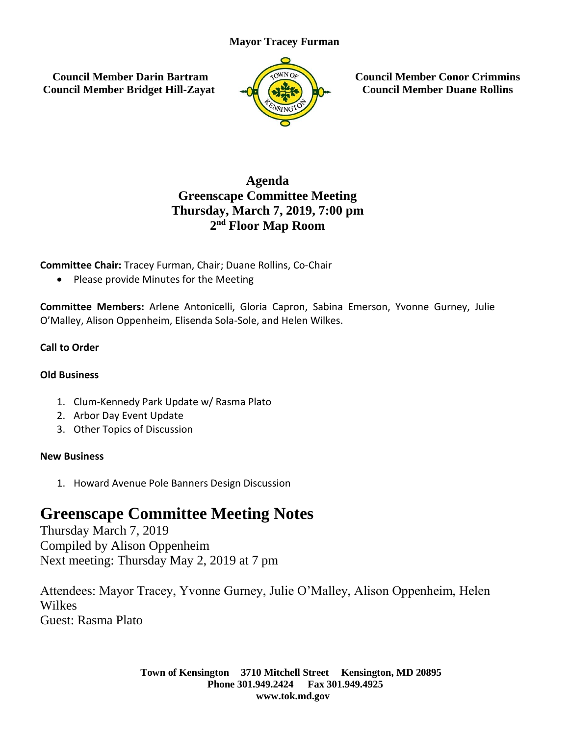## **Mayor Tracey Furman**

**Council Member Darin Bartram Council Member Bridget Hill-Zayat**



**Council Member Conor Crimmins Council Member Duane Rollins**

# **Agenda Greenscape Committee Meeting Thursday, March 7, 2019, 7:00 pm 2 nd Floor Map Room**

## **Committee Chair:** Tracey Furman, Chair; Duane Rollins, Co-Chair

• Please provide Minutes for the Meeting

**Committee Members:** Arlene Antonicelli, Gloria Capron, Sabina Emerson, Yvonne Gurney, Julie O'Malley, Alison Oppenheim, Elisenda Sola-Sole, and Helen Wilkes.

## **Call to Order**

#### **Old Business**

- 1. Clum-Kennedy Park Update w/ Rasma Plato
- 2. Arbor Day Event Update
- 3. Other Topics of Discussion

#### **New Business**

1. Howard Avenue Pole Banners Design Discussion

# **Greenscape Committee Meeting Notes**

Thursday March 7, 2019 Compiled by Alison Oppenheim Next meeting: Thursday May 2, 2019 at 7 pm

Attendees: Mayor Tracey, Yvonne Gurney, Julie O'Malley, Alison Oppenheim, Helen Wilkes Guest: Rasma Plato